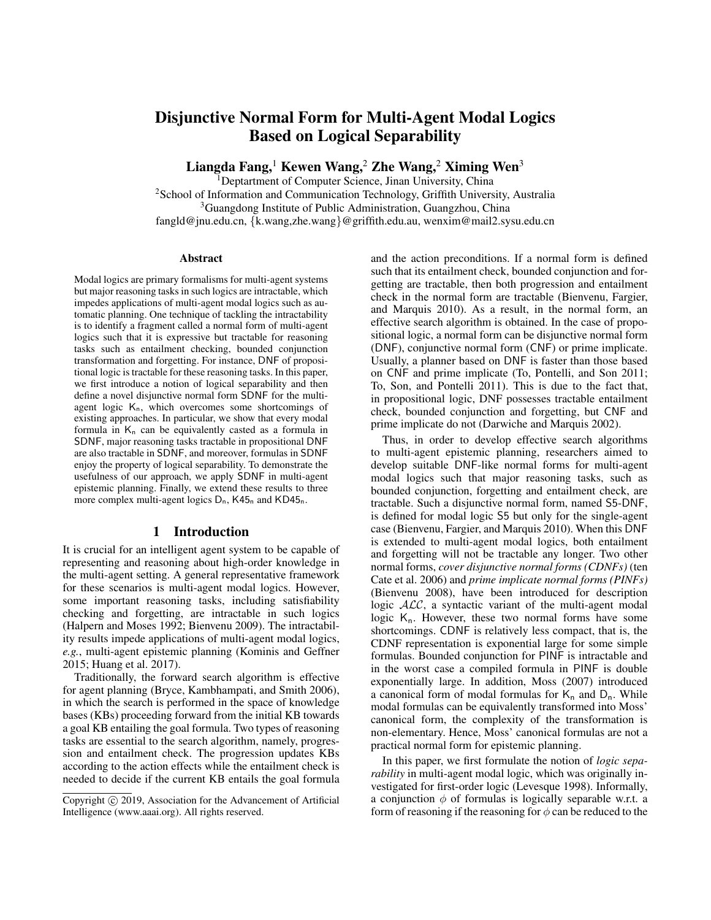# Disjunctive Normal Form for Multi-Agent Modal Logics Based on Logical Separability

Liangda Fang,<sup>1</sup> Kewen Wang,<sup>2</sup> Zhe Wang,<sup>2</sup> Ximing Wen<sup>3</sup>

<sup>1</sup>Deptartment of Computer Science, Jinan University, China <sup>2</sup>School of Information and Communication Technology, Griffith University, Australia <sup>3</sup>Guangdong Institute of Public Administration, Guangzhou, China fangld@jnu.edu.cn, {k.wang,zhe.wang}@griffith.edu.au, wenxim@mail2.sysu.edu.cn

#### Abstract

Modal logics are primary formalisms for multi-agent systems but major reasoning tasks in such logics are intractable, which impedes applications of multi-agent modal logics such as automatic planning. One technique of tackling the intractability is to identify a fragment called a normal form of multi-agent logics such that it is expressive but tractable for reasoning tasks such as entailment checking, bounded conjunction transformation and forgetting. For instance, DNF of propositional logic is tractable for these reasoning tasks. In this paper, we first introduce a notion of logical separability and then define a novel disjunctive normal form SDNF for the multiagent logic  $K_n$ , which overcomes some shortcomings of existing approaches. In particular, we show that every modal formula in  $K_n$  can be equivalently casted as a formula in SDNF, major reasoning tasks tractable in propositional DNF are also tractable in SDNF, and moreover, formulas in SDNF enjoy the property of logical separability. To demonstrate the usefulness of our approach, we apply SDNF in multi-agent epistemic planning. Finally, we extend these results to three more complex multi-agent logics  $D_n$ , K45<sub>n</sub> and KD45<sub>n</sub>.

#### 1 Introduction

It is crucial for an intelligent agent system to be capable of representing and reasoning about high-order knowledge in the multi-agent setting. A general representative framework for these scenarios is multi-agent modal logics. However, some important reasoning tasks, including satisfiability checking and forgetting, are intractable in such logics (Halpern and Moses 1992; Bienvenu 2009). The intractability results impede applications of multi-agent modal logics, *e.g.*, multi-agent epistemic planning (Kominis and Geffner 2015; Huang et al. 2017).

Traditionally, the forward search algorithm is effective for agent planning (Bryce, Kambhampati, and Smith 2006), in which the search is performed in the space of knowledge bases (KBs) proceeding forward from the initial KB towards a goal KB entailing the goal formula. Two types of reasoning tasks are essential to the search algorithm, namely, progression and entailment check. The progression updates KBs according to the action effects while the entailment check is needed to decide if the current KB entails the goal formula

and the action preconditions. If a normal form is defined such that its entailment check, bounded conjunction and forgetting are tractable, then both progression and entailment check in the normal form are tractable (Bienvenu, Fargier, and Marquis 2010). As a result, in the normal form, an effective search algorithm is obtained. In the case of propositional logic, a normal form can be disjunctive normal form (DNF), conjunctive normal form (CNF) or prime implicate. Usually, a planner based on DNF is faster than those based on CNF and prime implicate (To, Pontelli, and Son 2011; To, Son, and Pontelli 2011). This is due to the fact that, in propositional logic, DNF possesses tractable entailment check, bounded conjunction and forgetting, but CNF and prime implicate do not (Darwiche and Marquis 2002).

Thus, in order to develop effective search algorithms to multi-agent epistemic planning, researchers aimed to develop suitable DNF-like normal forms for multi-agent modal logics such that major reasoning tasks, such as bounded conjunction, forgetting and entailment check, are tractable. Such a disjunctive normal form, named S5-DNF, is defined for modal logic S5 but only for the single-agent case (Bienvenu, Fargier, and Marquis 2010). When this DNF is extended to multi-agent modal logics, both entailment and forgetting will not be tractable any longer. Two other normal forms, *cover disjunctive normal forms (CDNFs)* (ten Cate et al. 2006) and *prime implicate normal forms (PINFs)* (Bienvenu 2008), have been introduced for description logic  $ALC$ , a syntactic variant of the multi-agent modal logic  $K_n$ . However, these two normal forms have some shortcomings. CDNF is relatively less compact, that is, the CDNF representation is exponential large for some simple formulas. Bounded conjunction for PINF is intractable and in the worst case a compiled formula in PINF is double exponentially large. In addition, Moss (2007) introduced a canonical form of modal formulas for  $K_n$  and  $D_n$ . While modal formulas can be equivalently transformed into Moss' canonical form, the complexity of the transformation is non-elementary. Hence, Moss' canonical formulas are not a practical normal form for epistemic planning.

In this paper, we first formulate the notion of *logic separability* in multi-agent modal logic, which was originally investigated for first-order logic (Levesque 1998). Informally, a conjunction  $\phi$  of formulas is logically separable w.r.t. a form of reasoning if the reasoning for  $\phi$  can be reduced to the

Copyright (c) 2019, Association for the Advancement of Artificial Intelligence (www.aaai.org). All rights reserved.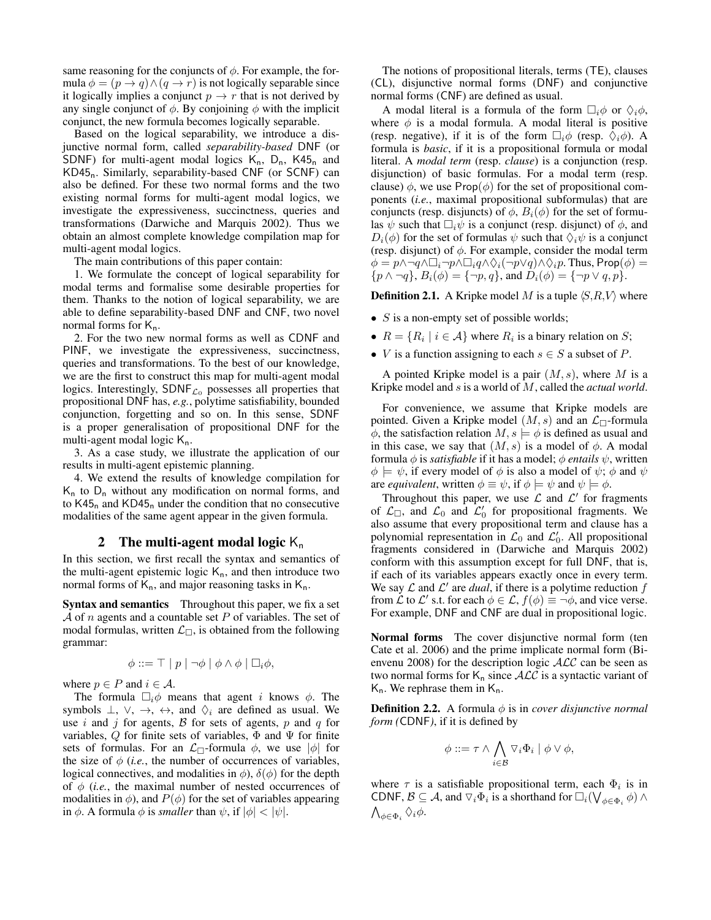same reasoning for the conjuncts of  $\phi$ . For example, the formula  $\phi = (p \rightarrow q) \land (q \rightarrow r)$  is not logically separable since it logically implies a conjunct  $p \to r$  that is not derived by any single conjunct of  $\phi$ . By conjoining  $\phi$  with the implicit conjunct, the new formula becomes logically separable.

Based on the logical separability, we introduce a disjunctive normal form, called *separability-based* DNF (or SDNF) for multi-agent modal logics  $K_n$ ,  $D_n$ ,  $K45_n$  and KD45n. Similarly, separability-based CNF (or SCNF) can also be defined. For these two normal forms and the two existing normal forms for multi-agent modal logics, we investigate the expressiveness, succinctness, queries and transformations (Darwiche and Marquis 2002). Thus we obtain an almost complete knowledge compilation map for multi-agent modal logics.

The main contributions of this paper contain:

1. We formulate the concept of logical separability for modal terms and formalise some desirable properties for them. Thanks to the notion of logical separability, we are able to define separability-based DNF and CNF, two novel normal forms for  $K_n$ .

2. For the two new normal forms as well as CDNF and PINF, we investigate the expressiveness, succinctness, queries and transformations. To the best of our knowledge, we are the first to construct this map for multi-agent modal logics. Interestingly,  $SDNF_{\mathcal{L}_0}$  possesses all properties that propositional DNF has, *e.g.*, polytime satisfiability, bounded conjunction, forgetting and so on. In this sense, SDNF is a proper generalisation of propositional DNF for the multi-agent modal logic  $K_n$ .

3. As a case study, we illustrate the application of our results in multi-agent epistemic planning.

4. We extend the results of knowledge compilation for  $K_n$  to  $D_n$  without any modification on normal forms, and to  $K45<sub>n</sub>$  and  $KD45<sub>n</sub>$  under the condition that no consecutive modalities of the same agent appear in the given formula.

#### 2 The multi-agent modal logic  $K_n$

In this section, we first recall the syntax and semantics of the multi-agent epistemic logic  $K_n$ , and then introduce two normal forms of  $K_n$ , and major reasoning tasks in  $K_n$ .

Syntax and semantics Throughout this paper, we fix a set  $A$  of n agents and a countable set P of variables. The set of modal formulas, written  $\mathcal{L}_{\Box}$ , is obtained from the following grammar:

$$
\phi ::= \top | p | \neg \phi | \phi \land \phi | \Box_i \phi,
$$

where  $p \in P$  and  $i \in \mathcal{A}$ .

The formula  $\Box_i \phi$  means that agent i knows  $\phi$ . The symbols  $\bot$ ,  $\lor$ ,  $\to$ ,  $\leftrightarrow$ , and  $\Diamond$ <sub>i</sub> are defined as usual. We use i and j for agents,  $\beta$  for sets of agents, p and q for variables, Q for finite sets of variables,  $\Phi$  and  $\Psi$  for finite sets of formulas. For an  $\mathcal{L}_{\Box}$ -formula  $\phi$ , we use  $|\phi|$  for the size of  $\phi$  (*i.e.*, the number of occurrences of variables, logical connectives, and modalities in  $\phi$ ),  $\delta(\phi)$  for the depth of  $\phi$  (*i.e.*, the maximal number of nested occurrences of modalities in  $\phi$ ), and  $P(\phi)$  for the set of variables appearing in  $\phi$ . A formula  $\phi$  is *smaller* than  $\psi$ , if  $|\phi| < |\psi|$ .

The notions of propositional literals, terms (TE), clauses (CL), disjunctive normal forms (DNF) and conjunctive normal forms (CNF) are defined as usual.

A modal literal is a formula of the form  $\Box_i \phi$  or  $\Diamond_i \phi$ , where  $\phi$  is a modal formula. A modal literal is positive (resp. negative), if it is of the form  $\Box_i \phi$  (resp.  $\Diamond_i \phi$ ). A formula is *basic*, if it is a propositional formula or modal literal. A *modal term* (resp. *clause*) is a conjunction (resp. disjunction) of basic formulas. For a modal term (resp. clause)  $\phi$ , we use Prop( $\phi$ ) for the set of propositional components (*i.e.*, maximal propositional subformulas) that are conjuncts (resp. disjuncts) of  $\phi$ ,  $B_i(\phi)$  for the set of formulas  $\psi$  such that  $\Box_i \psi$  is a conjunct (resp. disjunct) of  $\phi$ , and  $D_i(\phi)$  for the set of formulas  $\psi$  such that  $\Diamond_i \psi$  is a conjunct (resp. disjunct) of  $\phi$ . For example, consider the modal term  $\phi = p \land \neg q \land \Box_i \neg p \land \Box_i q \land \Diamond_i (\neg p \lor q) \land \Diamond_i p$ . Thus, Prop $(\phi) =$  $\{p \wedge \neg q\}, B_i(\phi) = \{\neg p, q\}, \text{ and } D_i(\phi) = \{\neg p \vee q, p\}.$ 

**Definition 2.1.** A Kripke model M is a tuple  $\langle S, R, V \rangle$  where

- $S$  is a non-empty set of possible worlds;
- $R = \{R_i \mid i \in \mathcal{A}\}$  where  $R_i$  is a binary relation on S;
- *V* is a function assigning to each  $s \in S$  a subset of *P*.

A pointed Kripke model is a pair  $(M, s)$ , where M is a Kripke model and s is a world of M, called the *actual world*.

For convenience, we assume that Kripke models are pointed. Given a Kripke model  $(M, s)$  and an  $\mathcal{L}_{\Box}$ -formula  $\phi$ , the satisfaction relation  $M, s \models \phi$  is defined as usual and in this case, we say that  $(M, s)$  is a model of  $\phi$ . A modal formula  $\phi$  is *satisfiable* if it has a model;  $\phi$  *entails*  $\psi$ , written  $\phi \models \psi$ , if every model of  $\phi$  is also a model of  $\psi$ ;  $\phi$  and  $\psi$ are *equivalent*, written  $\phi \equiv \psi$ , if  $\phi \models \psi$  and  $\psi \models \phi$ .

Throughout this paper, we use  $\mathcal L$  and  $\mathcal L'$  for fragments of  $\mathcal{L}_{\Box}$ , and  $\mathcal{L}_0$  and  $\mathcal{L}'_0$  for propositional fragments. We also assume that every propositional term and clause has a polynomial representation in  $\mathcal{L}_0$  and  $\mathcal{L}'_0$ . All propositional fragments considered in (Darwiche and Marquis 2002) conform with this assumption except for full DNF, that is, if each of its variables appears exactly once in every term. We say  $\mathcal L$  and  $\mathcal L'$  are *dual*, if there is a polytime reduction  $f$ from  $\mathcal L$  to  $\mathcal L'$  s.t. for each  $\phi \in \mathcal L$ ,  $f(\phi) \equiv \neg \phi$ , and vice verse. For example, DNF and CNF are dual in propositional logic.

Normal forms The cover disjunctive normal form (ten Cate et al. 2006) and the prime implicate normal form (Bienvenu 2008) for the description logic  $ALC$  can be seen as two normal forms for  $K_n$  since  $\mathcal{ALC}$  is a syntactic variant of  $K_n$ . We rephrase them in  $K_n$ .

**Definition 2.2.** A formula  $\phi$  is in *cover disjunctive normal form (*CDNF*)*, if it is defined by

$$
\phi ::= \tau \wedge \bigwedge_{i \in \mathcal{B}} \nabla_i \Phi_i \mid \phi \vee \phi,
$$

where  $\tau$  is a satisfiable propositional term, each  $\Phi_i$  is in CDNF,  $\mathcal{B} \subseteq \mathcal{A}$ , and  $\nabla_i \Phi_i$  is a shorthand for  $\Box_i(\bigvee_{\phi \in \Phi_i} \phi) \land$  $\bigwedge_{\phi \in \Phi_i} \Diamond_i \phi.$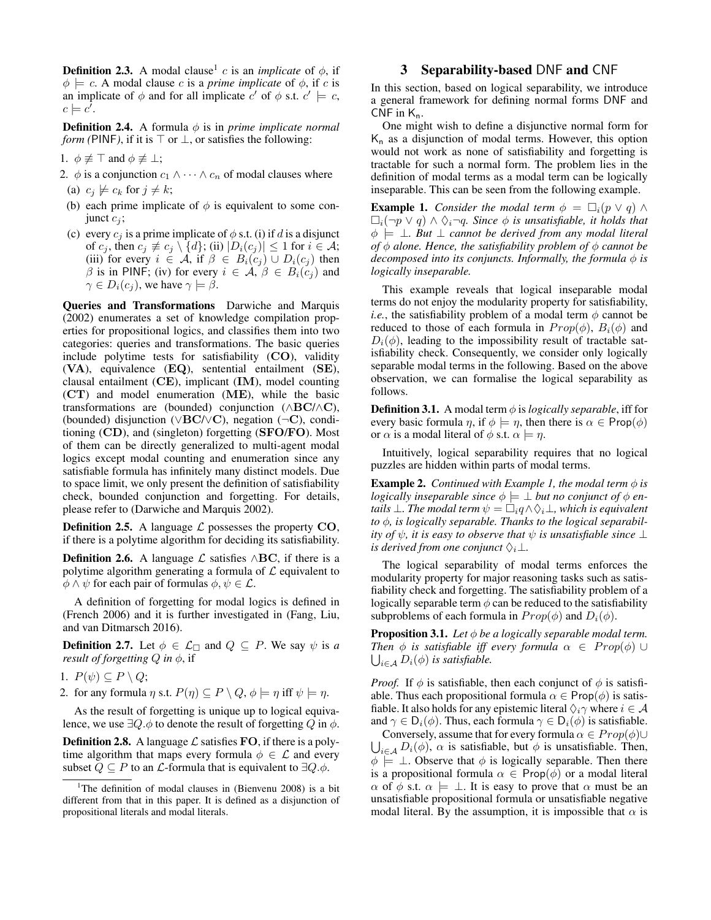**Definition 2.3.** A modal clause<sup>1</sup> c is an *implicate* of  $\phi$ , if  $\phi \models c$ . A modal clause c is a *prime implicate* of  $\phi$ , if c is an implicate of  $\phi$  and for all implicate  $c'$  of  $\phi$  s.t.  $c' \models c$ ,  $c \models c'.$ 

**Definition 2.4.** A formula  $\phi$  is in *prime implicate normal form (*PINF), if it is  $\top$  or  $\bot$ , or satisfies the following:

- 1.  $\phi \not\equiv \top$  and  $\phi \not\equiv \bot$ ;
- 2.  $\phi$  is a conjunction  $c_1 \wedge \cdots \wedge c_n$  of modal clauses where
- (a)  $c_j \not\models c_k$  for  $j \neq k$ ;
- (b) each prime implicate of  $\phi$  is equivalent to some conjunct  $c_i$ ;
- (c) every  $c_i$  is a prime implicate of  $\phi$  s.t. (i) if d is a disjunct of  $c_j$ , then  $c_j \not\equiv c_j \setminus \{d\}$ ; (ii)  $|D_i(c_j)| \leq 1$  for  $i \in \mathcal{A}$ ; (iii) for every  $i \in A$ , if  $\beta \in B_i(c_j) \cup D_i(c_j)$  then  $\beta$  is in PINF; (iv) for every  $i \in \mathcal{A}, \beta \in B_i(c_j)$  and  $\gamma \in D_i(c_i)$ , we have  $\gamma \models \beta$ .

Queries and Transformations Darwiche and Marquis (2002) enumerates a set of knowledge compilation properties for propositional logics, and classifies them into two categories: queries and transformations. The basic queries include polytime tests for satisfiability (CO), validity (VA), equivalence (EQ), sentential entailment (SE), clausal entailment (CE), implicant (IM), model counting (CT) and model enumeration (ME), while the basic transformations are (bounded) conjunction ( $\wedge$ BC/ $\wedge$ C), (bounded) disjunction (∨BC/∨C), negation (¬C), conditioning (CD), and (singleton) forgetting (SFO/FO). Most of them can be directly generalized to multi-agent modal logics except modal counting and enumeration since any satisfiable formula has infinitely many distinct models. Due to space limit, we only present the definition of satisfiability check, bounded conjunction and forgetting. For details, please refer to (Darwiche and Marquis 2002).

**Definition 2.5.** A language  $\mathcal{L}$  possesses the property CO, if there is a polytime algorithm for deciding its satisfiability.

**Definition 2.6.** A language  $\mathcal{L}$  satisfies ∧BC, if there is a polytime algorithm generating a formula of  $\mathcal L$  equivalent to  $\phi \land \psi$  for each pair of formulas  $\phi, \psi \in \mathcal{L}$ .

A definition of forgetting for modal logics is defined in (French 2006) and it is further investigated in (Fang, Liu, and van Ditmarsch 2016).

**Definition 2.7.** Let  $\phi \in \mathcal{L}_{\Box}$  and  $Q \subseteq P$ . We say  $\psi$  is *a result of forgetting*  $Q$  *in*  $\phi$ *,* if

- 1.  $P(\psi) \subseteq P \setminus Q$ ;
- 2. for any formula  $\eta$  s.t.  $P(\eta) \subseteq P \setminus Q$ ,  $\phi \models \eta$  iff  $\psi \models \eta$ .

As the result of forgetting is unique up to logical equivalence, we use  $\exists Q.\phi$  to denote the result of forgetting Q in  $\phi$ .

**Definition 2.8.** A language  $\mathcal{L}$  satisfies **FO**, if there is a polytime algorithm that maps every formula  $\phi \in \mathcal{L}$  and every subset  $Q \subseteq P$  to an  $\mathcal L$ -formula that is equivalent to  $\exists Q.\phi$ .

## 3 Separability-based DNF and CNF

In this section, based on logical separability, we introduce a general framework for defining normal forms DNF and CNF in  $K_n$ .

One might wish to define a disjunctive normal form for  $K_n$  as a disjunction of modal terms. However, this option would not work as none of satisfiability and forgetting is tractable for such a normal form. The problem lies in the definition of modal terms as a modal term can be logically inseparable. This can be seen from the following example.

**Example 1.** *Consider the modal term*  $\phi = \Box_i(p \lor q) \land$  $\Box_i(\neg p \lor q) \land \Diamond_i \neg q$ . Since  $\phi$  is unsatisfiable, it holds that φ |= ⊥*. But* ⊥ *cannot be derived from any modal literal of*  $\phi$  *alone. Hence, the satisfiability problem of*  $\phi$  *cannot be decomposed into its conjuncts. Informally, the formula*  $\phi$  *is logically inseparable.*

This example reveals that logical inseparable modal terms do not enjoy the modularity property for satisfiability, *i.e.*, the satisfiability problem of a modal term  $\phi$  cannot be reduced to those of each formula in  $Prop(\phi)$ ,  $B_i(\phi)$  and  $D_i(\phi)$ , leading to the impossibility result of tractable satisfiability check. Consequently, we consider only logically separable modal terms in the following. Based on the above observation, we can formalise the logical separability as follows.

**Definition 3.1.** A modal term  $\phi$  is *logically separable*, iff for every basic formula  $\eta$ , if  $\phi \models \eta$ , then there is  $\alpha \in \text{Prop}(\phi)$ or  $\alpha$  is a modal literal of  $\phi$  s.t.  $\alpha \models \eta$ .

Intuitively, logical separability requires that no logical puzzles are hidden within parts of modal terms.

**Example 2.** *Continued with Example 1, the modal term*  $\phi$  *is logically inseparable since*  $\phi \models \bot$  *but no conjunct of*  $\phi$  *entails*  $\bot$ *. The modal term*  $\psi = \Box_i q \land \Diamond_i \bot$ *, which is equivalent to* φ*, is logically separable. Thanks to the logical separability of*  $\psi$ *, it is easy to observe that*  $\psi$  *is unsatisfiable since*  $\bot$ *is derived from one conjunct*  $\Diamond_i \bot$ *.* 

The logical separability of modal terms enforces the modularity property for major reasoning tasks such as satisfiability check and forgetting. The satisfiability problem of a logically separable term  $\phi$  can be reduced to the satisfiability subproblems of each formula in  $Prop(\phi)$  and  $D_i(\phi)$ .

**Proposition 3.1.** *Let*  $\phi$  *be a logically separable modal term. Then*  $\phi$  *is satisfiable iff every formula*  $\alpha \in Prop(\phi) \cup$  $\bigcup_{i\in\mathcal{A}} D_i(\phi)$  is satisfiable.

*Proof.* If  $\phi$  is satisfiable, then each conjunct of  $\phi$  is satisfiable. Thus each propositional formula  $\alpha \in \mathsf{Prop}(\phi)$  is satisfiable. It also holds for any epistemic literal  $\Diamond_i \gamma$  where  $i \in A$ and  $\gamma \in D_i(\phi)$ . Thus, each formula  $\gamma \in D_i(\phi)$  is satisfiable.

 $\bigcup_{i \in A} D_i(\phi)$ ,  $\alpha$  is satisfiable, but  $\phi$  is unsatisfiable. Then, Conversely, assume that for every formula  $\alpha \in Prop(\phi) \cup$  $\phi \models \bot$ . Observe that  $\phi$  is logically separable. Then there is a propositional formula  $\alpha \in \text{Prop}(\phi)$  or a modal literal  $\alpha$  of  $\phi$  s.t.  $\alpha \models \bot$ . It is easy to prove that  $\alpha$  must be an unsatisfiable propositional formula or unsatisfiable negative modal literal. By the assumption, it is impossible that  $\alpha$  is

<sup>&</sup>lt;sup>1</sup>The definition of modal clauses in (Bienvenu 2008) is a bit different from that in this paper. It is defined as a disjunction of propositional literals and modal literals.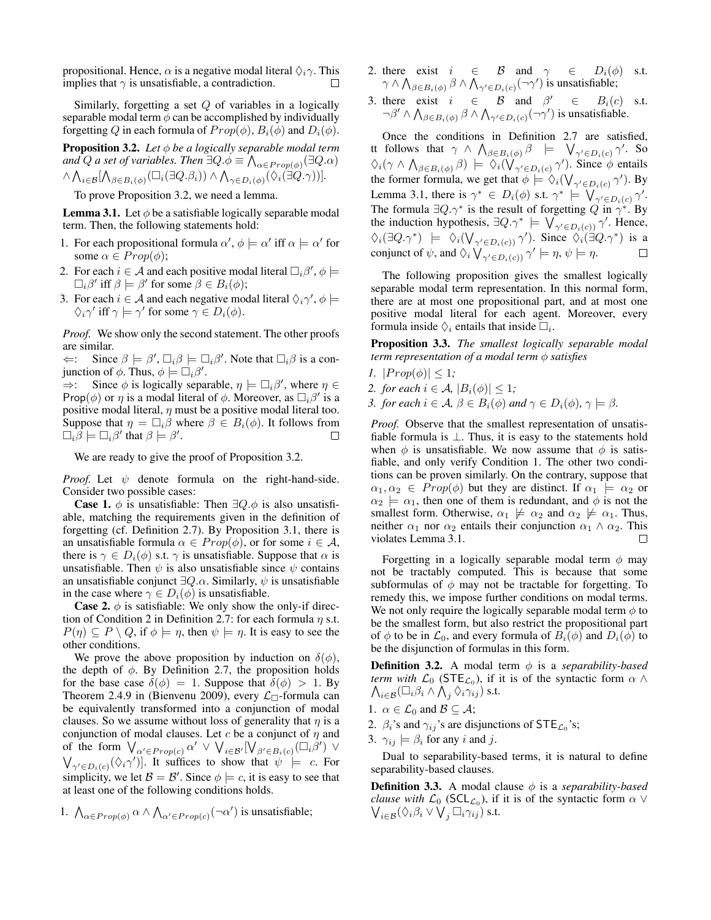propositional. Hence,  $\alpha$  is a negative modal literal  $\Diamond_i \gamma$ . This implies that  $\gamma$  is unsatisfiable, a contradiction.

Similarly, forgetting a set  $Q$  of variables in a logically separable modal term  $\phi$  can be accomplished by individually forgetting Q in each formula of  $Prop(\phi)$ ,  $B_i(\phi)$  and  $D_i(\phi)$ .

**Proposition 3.2.** *Let*  $\phi$  *be a logically separable modal term* and  $Q$  a set of variables. Then  $\exists Q.\phi \equiv \bigwedge_{\alpha \in Prop(\phi)}(\exists Q.\alpha)$  $\wedge \bigwedge_{i\in\mathcal{B}}[\bigwedge_{\beta\in B_i(\phi)}(\Box_i(\exists Q.\beta_i))\wedge \bigwedge_{\gamma\in D_i(\phi)}(\Diamond_i(\exists Q.\gamma))].$ 

To prove Proposition 3.2, we need a lemma.

**Lemma 3.1.** Let  $\phi$  be a satisfiable logically separable modal term. Then, the following statements hold:

- 1. For each propositional formula  $\alpha'$ ,  $\phi \models \alpha'$  iff  $\alpha \models \alpha'$  for some  $\alpha \in Prop(\phi);$
- 2. For each  $i \in \mathcal{A}$  and each positive modal literal  $\Box_i \beta', \phi \models$  $\Box_i \beta'$  iff  $\beta \models \beta'$  for some  $\beta \in B_i(\phi)$ ;
- 3. For each  $i \in \mathcal{A}$  and each negative modal literal  $\Diamond_i \gamma', \phi \models$  $\Diamond_i \gamma'$  iff  $\gamma \models \gamma'$  for some  $\gamma \in D_i(\phi)$ .

*Proof.* We show only the second statement. The other proofs are similar.

 $\Leftarrow$ : Since  $\beta \models \beta', \Box_i \beta \models \Box_i \beta'$ . Note that  $\Box_i \beta$  is a conjunction of  $\phi$ . Thus,  $\phi \models \Box_i \beta'$ .

 $\Rightarrow$ : Since  $\phi$  is logically separable,  $\eta \models \Box_i \beta'$ , where  $\eta \in$ Prop( $\phi$ ) or  $\eta$  is a modal literal of  $\phi$ . Moreover, as  $\Box_i \beta'$  is a positive modal literal,  $\eta$  must be a positive modal literal too. Suppose that  $\eta = \Box_i \beta$  where  $\beta \in B_i(\phi)$ . It follows from  $\Box_i \beta \models \Box_i \beta'$  that  $\beta \models \beta'.$  $\Box$ 

We are ready to give the proof of Proposition 3.2.

*Proof.* Let  $\psi$  denote formula on the right-hand-side. Consider two possible cases:

**Case 1.**  $\phi$  is unsatisfiable: Then  $\exists Q.\phi$  is also unsatisfiable, matching the requirements given in the definition of forgetting (cf. Definition 2.7). By Proposition 3.1, there is an unsatisfiable formula  $\alpha \in Prop(\phi)$ , or for some  $i \in \mathcal{A}$ , there is  $\gamma \in D_i(\phi)$  s.t.  $\gamma$  is unsatisfiable. Suppose that  $\alpha$  is unsatisfiable. Then  $\psi$  is also unsatisfiable since  $\psi$  contains an unsatisfiable conjunct  $\exists Q.\alpha$ . Similarly,  $\psi$  is unsatisfiable in the case where  $\gamma \in D_i(\phi)$  is unsatisfiable.

**Case 2.**  $\phi$  is satisfiable: We only show the only-if direction of Condition 2 in Definition 2.7: for each formula  $\eta$  s.t.  $P(\eta) \subseteq P \setminus Q$ , if  $\phi \models \eta$ , then  $\psi \models \eta$ . It is easy to see the other conditions.

We prove the above proposition by induction on  $\delta(\phi)$ , the depth of  $\phi$ . By Definition 2.7, the proposition holds for the base case  $\delta(\phi) = 1$ . Suppose that  $\delta(\phi) > 1$ . By Theorem 2.4.9 in (Bienvenu 2009), every  $\mathcal{L}_{\Box}$ -formula can be equivalently transformed into a conjunction of modal clauses. So we assume without loss of generality that  $\eta$  is a conjunction of modal clauses. Let  $c$  be a conjunct of  $\eta$  and of the form  $\bigvee_{\alpha' \in Prop(c)} \alpha' \vee \bigvee_{i \in \mathcal{B}'} [\bigvee_{\beta' \in B_i(c)} (\Box_i \beta') \vee$  $\bigvee_{\gamma' \in D_i(c)} (\Diamond_i \gamma')$ . It suffices to show that  $\psi \models c$ . For simplicity, we let  $\mathcal{B} = \mathcal{B}'$ . Since  $\phi \models c$ , it is easy to see that at least one of the following conditions holds.

1.  $\bigwedge_{\alpha \in Prop(\phi)} \alpha \wedge \bigwedge_{\alpha' \in Prop(c)} (\neg \alpha')$  is unsatisfiable;

- 2. there exist  $i \in \mathcal{B}$  and  $\gamma \in D_i(\phi)$  s.t.  $\gamma\wedge\bigwedge_{\beta\in B_i(\phi)}\beta\wedge\bigwedge_{\gamma'\in D_i(c)}(\neg\gamma')$  is unsatisfiable;
- 3. there exist  $i \in \mathcal{B}$  and  $\beta' \in$  $B_i(c)$  s.t.  $\neg \beta' \land \bigwedge_{\beta \in B_i(\phi)} \beta \land \bigwedge_{\gamma' \in D_i(c)} (\neg \gamma')$  is unsatisfiable.

Once the conditions in Definition 2.7 are satisfied, tt follows that  $\gamma \wedge \bigwedge_{\beta \in B_i(\phi)} \beta \models \bigvee_{\gamma' \in D_i(c)} \gamma'.$  So  $\Diamond_i(\gamma \wedge \bigwedge_{\beta \in B_i(\phi)} \beta) \models \Diamond_i(\bigvee_{\gamma' \in D_i(c)} \gamma')$ . Since  $\phi$  entails the former formula, we get that  $\phi \models \Diamond_i(\bigvee_{\gamma' \in D_i(c)} \gamma')$ . By Lemma 3.1, there is  $\gamma^* \in D_i(\phi)$  s.t.  $\gamma^* \models \bigvee_{\gamma' \in D_i(c)} \gamma'$ . The formula  $\exists Q.\gamma^*$  is the result of forgetting  $Q$  in  $\gamma^*$ . By the induction hypothesis,  $\exists Q.\gamma^* \models \bigvee_{\gamma' \in D_i(c)} \gamma'$ . Hence,  $\Diamond_i(\exists Q.\gamma^*) \models \Diamond_i(\bigvee_{\gamma' \in D_i(c)}) \gamma'$ ). Since  $\Diamond_i(\exists Q.\gamma^*)$  is a conjunct of  $\psi$ , and  $\Diamond_i \bigvee_{\gamma' \in D_i(c)} \gamma' \models \eta, \psi \models \eta$ .  $\Box$ 

The following proposition gives the smallest logically separable modal term representation. In this normal form, there are at most one propositional part, and at most one positive modal literal for each agent. Moreover, every formula inside  $\Diamond_i$  entails that inside  $\Box_i$ .

Proposition 3.3. *The smallest logically separable modal term representation of a modal term* φ *satisfies*

- *1.*  $|Prop(\phi)| \leq 1$ ;
- *2. for each*  $i \in \mathcal{A}$ ,  $|B_i(\phi)| \leq 1$ ;
- *3. for each*  $i \in \mathcal{A}, \beta \in B_i(\phi)$  *and*  $\gamma \in D_i(\phi), \gamma \models \beta$ *.*

*Proof.* Observe that the smallest representation of unsatisfiable formula is  $\bot$ . Thus, it is easy to the statements hold when  $\phi$  is unsatisfiable. We now assume that  $\phi$  is satisfiable, and only verify Condition 1. The other two conditions can be proven similarly. On the contrary, suppose that  $\alpha_1, \alpha_2 \in Prop(\phi)$  but they are distinct. If  $\alpha_1 \models \alpha_2$  or  $\alpha_2 \models \alpha_1$ , then one of them is redundant, and  $\phi$  is not the smallest form. Otherwise,  $\alpha_1 \not\models \alpha_2$  and  $\alpha_2 \not\models \alpha_1$ . Thus, neither  $\alpha_1$  nor  $\alpha_2$  entails their conjunction  $\alpha_1 \wedge \alpha_2$ . This violates Lemma 3.1. П

Forgetting in a logically separable modal term  $\phi$  may not be tractably computed. This is because that some subformulas of  $\phi$  may not be tractable for forgetting. To remedy this, we impose further conditions on modal terms. We not only require the logically separable modal term  $\phi$  to be the smallest form, but also restrict the propositional part of  $\phi$  to be in  $\mathcal{L}_0$ , and every formula of  $B_i(\phi)$  and  $D_i(\phi)$  to be the disjunction of formulas in this form.

**Definition 3.2.** A modal term  $\phi$  is a *separability-based term with L*<sub>0</sub> (STE<sub>L<sub>0</sub>), if i $\bigwedge_{i \in \mathcal{B}} (\Box_i \beta_i \land \bigwedge_j \Diamond_i \gamma_{ij})$  s.t.</sub> *term with*  $\mathcal{L}_0$  (STE<sub> $\mathcal{L}_0$ </sub>), if it is of the syntactic form  $\alpha \wedge$ 

- 1.  $\alpha \in \mathcal{L}_0$  and  $\mathcal{B} \subseteq \mathcal{A}$ ;
- 2.  $\beta_i$ 's and  $\gamma_{ij}$ 's are disjunctions of  $\text{STE}_{\mathcal{L}_0}$ 's;
- 3.  $\gamma_{ij} \models \beta_i$  for any *i* and *j*.

Dual to separability-based terms, it is natural to define separability-based clauses.

**Definition 3.3.** A modal clause  $\phi$  is a *separability-based clause with*  $\mathcal{L}_0$  (SCL<sub>*C*0</sub>), if it is of the syntactic form  $\alpha \vee \bigvee_{i \in \mathbb{R}} (\Diamond_i \beta_i \vee \bigvee_i \Box_i \gamma_{ij})$  s.t.  $_{i\in\mathcal{B}}(\Diamond_{i}\beta_{i}\vee\check{\bigvee}_{j}\Box_{i}\widetilde{\gamma_{ij}})$  s.t.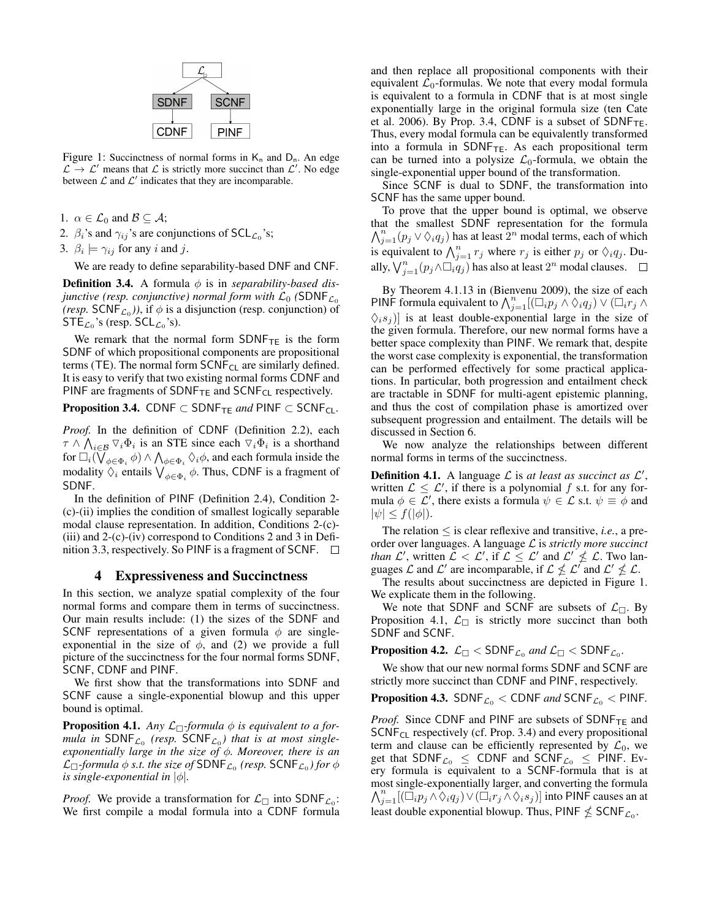

Figure 1: Succinctness of normal forms in  $K_n$  and  $D_n$ . An edge  $\mathcal{L} \to \mathcal{L}'$  means that  $\mathcal{L}$  is strictly more succinct than  $\mathcal{L}'$ . No edge between  $\mathcal L$  and  $\mathcal L'$  indicates that they are incomparable.

- 1.  $\alpha \in \mathcal{L}_0$  and  $\mathcal{B} \subseteq \mathcal{A}$ ;
- 2.  $\beta_i$ 's and  $\gamma_{ij}$ 's are conjunctions of SCL<sub> $\mathcal{L}_0$ </sub>'s;
- 3.  $\beta_i \models \gamma_{ij}$  for any *i* and *j*.

We are ready to define separability-based DNF and CNF.

**Definition 3.4.** A formula  $\phi$  is in *separability-based disjunctive (resp. conjunctive) normal form with*  $\mathcal{L}_0$  *(SDNF* $_{\mathcal{L}_0}$ *(resp.* SCNF<sub> $\mathcal{L}_0$ </sub>)), if  $\phi$  is a disjunction (resp. conjunction) of  $\mathsf{STE}_{\mathcal{L}_0}$ 's (resp.  $\mathsf{SCL}_{\mathcal{L}_0}$ 's).

We remark that the normal form  $SDNF_{TE}$  is the form SDNF of which propositional components are propositional terms (TE). The normal form  $SCNF_{CL}$  are similarly defined. It is easy to verify that two existing normal forms CDNF and PINF are fragments of SDNF $_{TE}$  and SCNF<sub>CL</sub> respectively.

**Proposition 3.4.** CDNF  $\subset$  SDNF<sub>TE</sub> and PINF  $\subset$  SCNF<sub>CL</sub>.

*Proof.* In the definition of CDNF (Definition 2.2), each  $\tau \wedge \bigwedge_{i \in \mathcal{B}} \nabla_i \Phi_i$  is an STE since each  $\nabla_i \Phi_i$  is a shorthand for  $\Box_i(\bigvee_{\phi \in \Phi_i} \phi) \wedge \bigwedge_{\phi \in \Phi_i} \Diamond_i \phi$ , and each formula inside the modality  $\bigvee_{\phi \in \Phi_i} \phi$ . Thus, CDNF is a fragment of SDNF.

In the definition of PINF (Definition 2.4), Condition 2- (c)-(ii) implies the condition of smallest logically separable modal clause representation. In addition, Conditions 2-(c)- (iii) and 2-(c)-(iv) correspond to Conditions 2 and 3 in Definition 3.3, respectively. So PINF is a fragment of SCNF.  $\Box$ 

#### 4 Expressiveness and Succinctness

In this section, we analyze spatial complexity of the four normal forms and compare them in terms of succinctness. Our main results include: (1) the sizes of the SDNF and SCNF representations of a given formula  $\phi$  are singleexponential in the size of  $\phi$ , and (2) we provide a full picture of the succinctness for the four normal forms SDNF, SCNF, CDNF and PINF.

We first show that the transformations into SDNF and SCNF cause a single-exponential blowup and this upper bound is optimal.

**Proposition 4.1.** *Any*  $\mathcal{L}_{\Box}$ -formula  $\phi$  *is equivalent to a for* $mula$  in  $SDNF_{\mathcal{L}_0}$  (resp.  $SCNF_{\mathcal{L}_0}$ ) that is at most single*exponentially large in the size of* φ*. Moreover, there is an*  $\mathcal{L}_{\Box}$ -formula  $\phi$  *s.t. the size of* SDNF<sub> $\mathcal{L}_0$  (resp. SCNF<sub> $\mathcal{L}_0$ </sub>) for  $\phi$ </sub> *is single-exponential in*  $|\phi|$ *.* 

*Proof.* We provide a transformation for  $\mathcal{L}_{\Box}$  into SDNF<sub> $\mathcal{L}_{0}$ </sub>: We first compile a modal formula into a CDNF formula

and then replace all propositional components with their equivalent  $\mathcal{L}_0$ -formulas. We note that every modal formula is equivalent to a formula in CDNF that is at most single exponentially large in the original formula size (ten Cate et al. 2006). By Prop. 3.4, CDNF is a subset of SDNF $_{TE}$ . Thus, every modal formula can be equivalently transformed into a formula in  $SDNF_{TE}$ . As each propositional term can be turned into a polysize  $\mathcal{L}_0$ -formula, we obtain the single-exponential upper bound of the transformation.

Since SCNF is dual to SDNF, the transformation into SCNF has the same upper bound.

To prove that the upper bound is optimal, we observe  $\bigwedge_{j=1}^{n} (p_j \vee \Diamond_i q_j)$  has at least  $2^n$  modal terms, each of which that the smallest SDNF representation for the formula is equivalent to  $\bigwedge_{j=1}^{n} r_j$  where  $r_j$  is either  $p_j$  or  $\Diamond_i q_j$ . Dually,  $\bigvee_{j=1}^{n} (p_j \wedge \Box_i q_j)$  has also at least  $2^n$  modal clauses.

By Theorem 4.1.13 in (Bienvenu 2009), the size of each PINF formula equivalent to  $\bigwedge_{j=1}^{n} [(\Box_i p_j \land \Diamond_i q_j) \lor (\Box_i r_j \land \Diamond_i q_j)]$  $\langle \xi_i s_j \rangle$  is at least double-exponential large in the size of the given formula. Therefore, our new normal forms have a better space complexity than PINF. We remark that, despite the worst case complexity is exponential, the transformation can be performed effectively for some practical applications. In particular, both progression and entailment check are tractable in SDNF for multi-agent epistemic planning, and thus the cost of compilation phase is amortized over subsequent progression and entailment. The details will be discussed in Section 6.

We now analyze the relationships between different normal forms in terms of the succinctness.

**Definition 4.1.** A language  $\mathcal{L}$  is *at least as succinct as*  $\mathcal{L}'$ , written  $\mathcal{L} \leq \mathcal{L}'$ , if there is a polynomial f s.t. for any formula  $\phi \in \mathcal{L}'$ , there exists a formula  $\psi \in \mathcal{L}$  s.t.  $\psi \equiv \dot{\phi}$  and  $|\psi| \leq f(|\phi|)$ .

The relation  $\leq$  is clear reflexive and transitive, *i.e.*, a preorder over languages. A language L is *strictly more succinct than*  $\mathcal{L}'$ , written  $\mathcal{L} < \mathcal{L}'$ , if  $\mathcal{L} \leq \mathcal{L}'$  and  $\mathcal{L}' \nleq \mathcal{L}$ . Two languages  $\mathcal L$  and  $\mathcal L'$  are incomparable, if  $\mathcal L \nleq \mathcal L'$  and  $\mathcal L' \nleq \mathcal L$ .

The results about succinctness are depicted in Figure 1. We explicate them in the following.

We note that SDNF and SCNF are subsets of  $\mathcal{L}_{\Box}$ . By Proposition 4.1,  $\mathcal{L}_{\Box}$  is strictly more succinct than both SDNF and SCNF.

Proposition 4.2.  $\mathcal{L}_\Box<$  SDNF $_{\mathcal{L}_0}$  and  $\mathcal{L}_\Box<$  SDNF $_{\mathcal{L}_0}.$ 

We show that our new normal forms SDNF and SCNF are strictly more succinct than CDNF and PINF, respectively.

**Proposition 4.3.** SDNF<sub> $\mathcal{L}_0$ </sub> < CDNF and SCNF<sub> $\mathcal{L}_0$ </sub> < PINF.

*Proof.* Since CDNF and PINF are subsets of SDNF<sub>TE</sub> and  $SCNF<sub>CL</sub>$  respectively (cf. Prop. 3.4) and every propositional term and clause can be efficiently represented by  $\mathcal{L}_0$ , we get that  $SDNF_{\mathcal{L}_0} \leq CDNF$  and  $SCNF_{\mathcal{L}_0} \leq PINF$ . Every formula is equivalent to a SCNF-formula that is at most single-exponentially larger, and converting the formula  $\bigwedge_{j=1}^n [(\overline{\Box}_i p_j \land \Diamond_i q_j) \lor (\overline{\Box}_i r_j \land \Diamond_i s_j)]$  into PINF causes an at least double exponential blowup. Thus, PINF  $\nleq$  SCNF $_{\mathcal{L}_0}$ .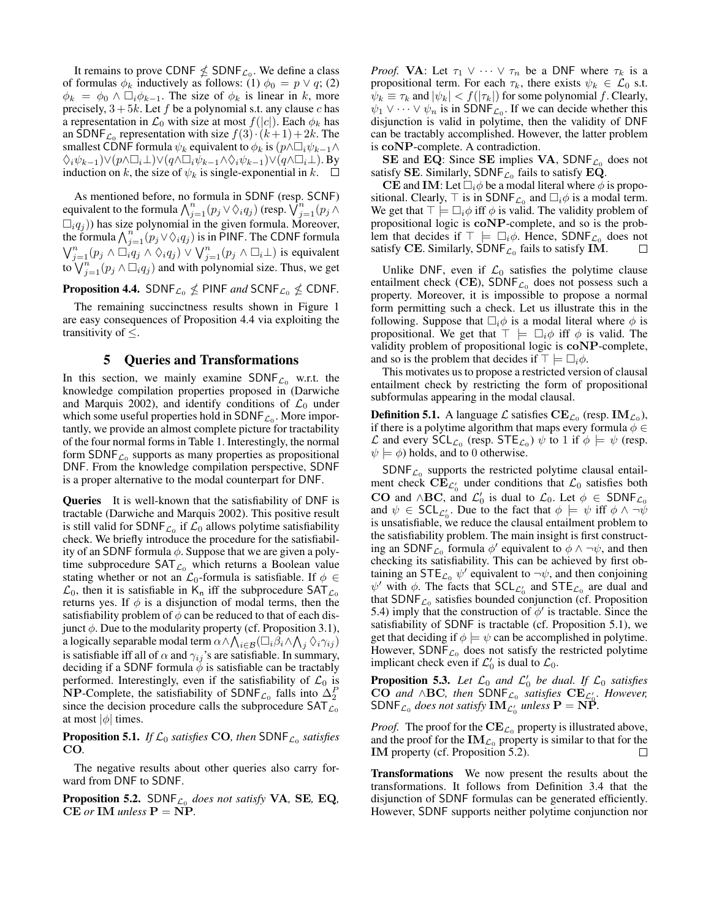It remains to prove CDNF  $\nleq$  SDNF<sub>L0</sub>. We define a class of formulas  $\phi_k$  inductively as follows: (1)  $\phi_0 = p \vee q$ ; (2)  $\phi_k = \phi_0 \wedge \Box_i \phi_{k-1}$ . The size of  $\phi_k$  is linear in k, more precisely,  $3 + 5k$ . Let f be a polynomial s.t. any clause c has a representation in  $\mathcal{L}_0$  with size at most  $f(|c|)$ . Each  $\phi_k$  has an SDNF<sub>L<sub>0</sub></sub> representation with size  $f(3) \cdot (k+1) + 2k$ . The smallest CDNF formula  $\psi_k$  equivalent to  $\phi_k$  is  $(p \wedge \Box_i \psi_{k-1} \wedge$  $\Diamond_i\psi_{k-1}) \vee (p \wedge \Box_i\bot) \vee (q \wedge \Box_i\psi_{k-1} \wedge \Diamond_i\psi_{k-1}) \vee (q \wedge \Box_i\bot)$ . By induction on k, the size of  $\psi_k$  is single-exponential in k.  $\square$ 

As mentioned before, no formula in SDNF (resp. SCNF) equivalent to the formula  $\bigwedge_{j=1}^{n} (p_j \vee \Diamond_i q_j)$  (resp.  $\bigvee_{j=1}^{n} (p_j \wedge$  $\Box_i q_j$ )) has size polynomial in the given formula. Moreover, the formula  $\bigwedge_{j=1}^{n} (p_j \vee \Diamond_i q_j)$  is in PINF. The CDNF formula  $\bigvee_{j=1}^{n} (p_j \wedge \Box_i q_j) \wedge \Diamond_i q_j) \vee \bigvee_{j=1}^{n} (p_j \wedge \Box_i \bot)$  is equivalent to  $\bigvee_{j=1}^{n} (p_j \wedge \Box_i q_j)$  and with polynomial size. Thus, we get

**Proposition 4.4.** SDNF<sub>L0</sub>  $\nleq$  PINF and SCNF<sub>L0</sub>  $\nleq$  CDNF.

The remaining succinctness results shown in Figure 1 are easy consequences of Proposition 4.4 via exploiting the transitivity of  $\leq$ .

#### 5 Queries and Transformations

In this section, we mainly examine  $SDNF_{\mathcal{L}_0}$  w.r.t. the knowledge compilation properties proposed in (Darwiche and Marquis 2002), and identify conditions of  $\mathcal{L}_0$  under which some useful properties hold in  $\mathsf{SDNF}_{\mathcal{L}_0}$ . More importantly, we provide an almost complete picture for tractability of the four normal forms in Table 1. Interestingly, the normal form  $SDNF_{\mathcal{L}_0}$  supports as many properties as propositional DNF. From the knowledge compilation perspective, SDNF is a proper alternative to the modal counterpart for DNF.

Queries It is well-known that the satisfiability of DNF is tractable (Darwiche and Marquis 2002). This positive result is still valid for SDNF $_{\mathcal{L}_0}$  if  $\mathcal{L}_0$  allows polytime satisfiability check. We briefly introduce the procedure for the satisfiability of an SDNF formula  $\phi$ . Suppose that we are given a polytime subprocedure  $SAT_{\mathcal{L}_0}$  which returns a Boolean value stating whether or not an  $\mathcal{L}_0$ -formula is satisfiable. If  $\phi \in$  $\mathcal{L}_0$ , then it is satisfiable in K<sub>n</sub> iff the subprocedure SAT<sub> $\mathcal{L}_0$ </sub> returns yes. If  $\phi$  is a disjunction of modal terms, then the satisfiability problem of  $\phi$  can be reduced to that of each disjunct  $\phi$ . Due to the modularity property (cf. Proposition 3.1), a logically separable modal term  $\alpha \wedge \bigwedge_{i \in \mathcal{B}} (\Box_i \beta_i \wedge \bigwedge_j \Diamond_i \gamma_{ij})$ is satisfiable iff all of  $\alpha$  and  $\gamma_{ij}$ 's are satisfiable. In summary, deciding if a SDNF formula  $\phi$  is satisfiable can be tractably performed. Interestingly, even if the satisfiability of  $\mathcal{L}_0$  is **NP**-Complete, the satisfiability of SDNF<sub> $\mathcal{L}_0$ </sub> falls into  $\Delta_2^F$ since the decision procedure calls the subprocedure  $SAT_{\mathcal{L}_0}$ at most  $|\phi|$  times.

**Proposition 5.1.** *If*  $\mathcal{L}_0$  *satisfies* CO, *then* SDNF $_{\mathcal{L}_0}$  *satisfies* CO*.*

The negative results about other queries also carry forward from DNF to SDNF.

Proposition 5.2. SDNF<sup>L</sup><sup>0</sup> *does not satisfy* VA*,* SE*,* EQ*,*  $CE$  *or* IM *unless*  $P = NP$ .

*Proof.* **VA**: Let  $\tau_1 \vee \cdots \vee \tau_n$  be a DNF where  $\tau_k$  is a propositional term. For each  $\tau_k$ , there exists  $\psi_k \in \mathcal{L}_0$  s.t.  $\psi_k \equiv \tau_k$  and  $|\psi_k| < f(|\tau_k|)$  for some polynomial f. Clearly,  $\psi_1 \vee \cdots \vee \psi_n$  is in SDNF<sub> $\mathcal{L}_0$ </sub>. If we can decide whether this disjunction is valid in polytime, then the validity of DNF can be tractably accomplished. However, the latter problem is coNP-complete. A contradiction.

SE and EQ: Since SE implies VA,  $SDNF_{\mathcal{L}_0}$  does not satisfy **SE**. Similarly,  $\mathsf{SDNF}_{\mathcal{L}_0}$  fails to satisfy EQ.

CE and IM: Let  $\Box_i \phi$  be a modal literal where  $\phi$  is propositional. Clearly,  $\top$  is in SDNF<sub> $\mathcal{L}_0$ </sub> and  $\Box_i \phi$  is a modal term. We get that  $\top \models \Box_i \phi$  iff  $\phi$  is valid. The validity problem of propositional logic is coNP-complete, and so is the problem that decides if  $\top \models \Box_i \phi$ . Hence, SDNF<sub>C<sub>0</sub></sub> does not satisfy **CE**. Similarly, SDNF<sub>C</sub> fails to satisfy **IM**. satisfy CE. Similarly,  $\mathsf{SDNF}_{\mathcal{L}_0}$  fails to satisfy IM.

Unlike DNF, even if  $\mathcal{L}_0$  satisfies the polytime clause entailment check (CE),  $SDNF_{\mathcal{L}_0}$  does not possess such a property. Moreover, it is impossible to propose a normal form permitting such a check. Let us illustrate this in the following. Suppose that  $\Box_i \phi$  is a modal literal where  $\phi$  is propositional. We get that  $\top \models \Box_i \phi$  iff  $\phi$  is valid. The validity problem of propositional logic is coNP-complete, and so is the problem that decides if  $\top \models \Box_i \phi$ .

This motivates us to propose a restricted version of clausal entailment check by restricting the form of propositional subformulas appearing in the modal clausal.

**Definition 5.1.** A language  $\mathcal{L}$  satisfies  $CE_{\mathcal{L}_0}$  (resp.  $IM_{\mathcal{L}_0}$ ), if there is a polytime algorithm that maps every formula  $\phi \in$ L and every  $\mathsf{SCL}_{\mathcal{L}_0}$  (resp.  $\mathsf{STE}_{\mathcal{L}_0}$ )  $\psi$  to 1 if  $\phi \models \psi$  (resp.  $\psi \models \phi$ ) holds, and to 0 otherwise.

 $SDNF_{\mathcal{L}_0}$  supports the restricted polytime clausal entailment check  $\mathrm{CE}_{\mathcal{L}'_0}$  under conditions that  $\mathcal{L}_0$  satisfies both **CO** and ∧**BC**, and  $\mathcal{L}'_0$  is dual to  $\mathcal{L}_0$ . Let  $\phi \in SDNF_{\mathcal{L}_0}$ and  $\psi \in \mathsf{SCL}_{\mathcal{L}_0}$ . Due to the fact that  $\phi \models \psi$  iff  $\phi \land \neg \psi$ is unsatisfiable, we reduce the clausal entailment problem to the satisfiability problem. The main insight is first constructing an SDNF<sub> $\mathcal{L}_0$ </sub> formula  $\phi'$  equivalent to  $\phi \wedge \neg \psi$ , and then checking its satisfiability. This can be achieved by first obtaining an STE<sub> $\mathcal{L}_0$ </sub>  $\psi'$  equivalent to  $\neg \psi$ , and then conjoining  $\psi'$  with  $\phi$ . The facts that SCL<sub>C</sub><sup>0</sup> and STE<sub>C<sub>0</sub></sub> are dual and that SDNF $_{\mathcal{L}_0}$  satisfies bounded conjunction (cf. Proposition 5.4) imply that the construction of  $\phi'$  is tractable. Since the satisfiability of SDNF is tractable (cf. Proposition 5.1), we get that deciding if  $\phi \models \psi$  can be accomplished in polytime. However,  $SDNF<sub>C<sub>0</sub></sub>$  does not satisfy the restricted polytime implicant check even if  $\mathcal{L}'_0$  is dual to  $\mathcal{L}_0$ .

**Proposition 5.3.** Let  $\mathcal{L}_0$  and  $\mathcal{L}'_0$  be dual. If  $\mathcal{L}_0$  satisfies CO *and* ∧BC, then SDNF<sub>L<sub>0</sub></sub> satisfies  $CE_{\mathcal{L}'_0}$ . However,  $SDNF_{\mathcal{L}_0}$  does not satisfy  $IM_{\mathcal{L}'_0}$  unless  $P = N\tilde{P}$ .

*Proof.* The proof for the  $\text{CE}_{\mathcal{L}_0}$  property is illustrated above, and the proof for the  $\mathbf{IM}_{\mathcal{L}_0}$  property is similar to that for the IM property (cf. Proposition 5.2). П

Transformations We now present the results about the transformations. It follows from Definition 3.4 that the disjunction of SDNF formulas can be generated efficiently. However, SDNF supports neither polytime conjunction nor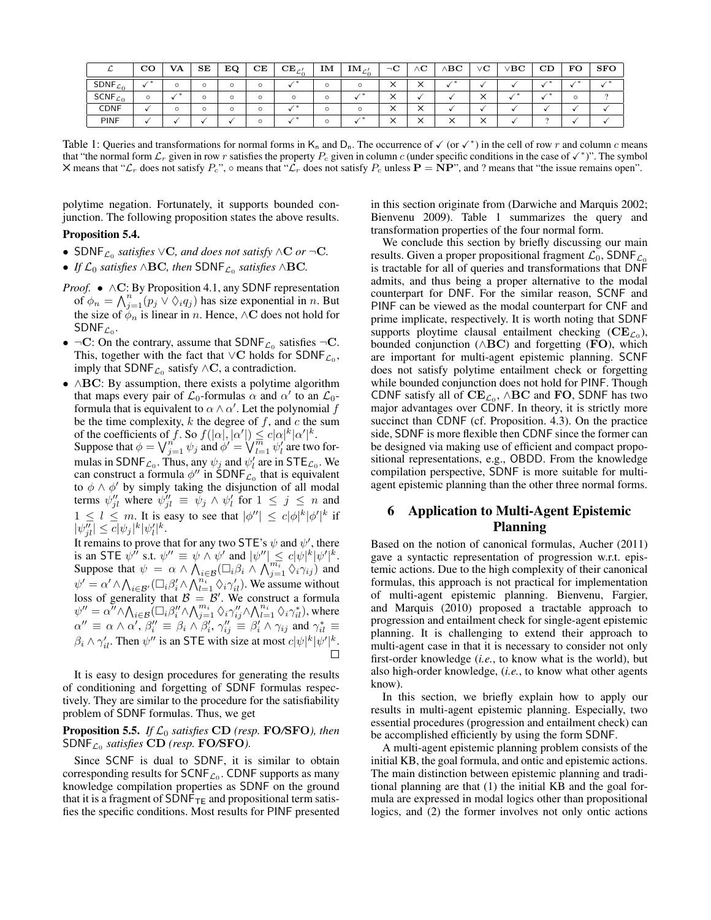| ∼           | $_{\rm CO}$ | <b>VA</b> | SE      | EQ      | $\mathbf C\mathbf E$ | $CE_{c}$ | IM | $\mathbf{IM}_{c}$<br>ترسله | $\neg$ C                                 | $\wedge {\bf C}$  | $\Delta$ BC | $\rm ^{\prime}C$ | /BC | CD | FO | <b>SFO</b> |
|-------------|-------------|-----------|---------|---------|----------------------|----------|----|----------------------------|------------------------------------------|-------------------|-------------|------------------|-----|----|----|------------|
| SDNF $c_0$  |             | O         | $\circ$ |         |                      |          |    |                            | $\checkmark$<br>⌒                        | $\checkmark$<br>⌒ |             |                  |     |    |    |            |
| SCNF $c_0$  |             |           |         |         | $\Omega$             | $\Omega$ |    |                            | $\checkmark$                             |                   |             | ╰                |     |    |    |            |
| <b>CDNF</b> |             | O         | $\circ$ | $\circ$ |                      |          |    |                            | $\checkmark$<br>⌒                        | $\checkmark$<br>⌒ |             |                  |     |    |    |            |
| <b>PINF</b> |             |           |         |         |                      |          |    |                            | $\checkmark$<br>$\overline{\phantom{a}}$ | ╰<br>⌒            |             | ╰                |     |    |    |            |

Table 1: Queries and transformations for normal forms in  $K_n$  and  $D_n$ . The occurrence of  $\checkmark$  (or  $\checkmark^*$ ) in the cell of row r and column c means that "the normal form  $\mathcal{L}_r$  given in row r satisfies the property  $P_c$  given in column c (under specific conditions in the case of  $\checkmark^*$ )". The symbol  $\times$  means that " $\mathcal{L}_r$  does not satisfy  $P_c$ ",  $\circ$  means that " $\mathcal{L}_r$  does not satisfy  $P_c$  unless  $\mathbf{P} = \mathbf{NP}$ ", and ? means that "the issue remains open".

polytime negation. Fortunately, it supports bounded conjunction. The following proposition states the above results.

#### Proposition 5.4.

- SDNFL<sup>0</sup> *satisfies* ∨C*, and does not satisfy* ∧C *or* ¬C*.*
- *If*  $\mathcal{L}_0$  *satisfies*  $\wedge$ **BC***, then* SDNF<sub> $\mathcal{L}_0$  *satisfies*  $\wedge$ **BC***.*</sub>
- *Proof.* ∧C: By Proposition 4.1, any SDNF representation of  $\phi_n = \bigwedge_{j=1}^n (p_j \vee \Diamond_i q_j)$  has size exponential in n. But the size of  $\phi_n$  is linear in n. Hence, ∧C does not hold for  $\mathsf{SDNF}_{\mathcal{L}_0}.$
- $\neg C$ : On the contrary, assume that SDNF<sub> $\mathcal{L}_0$ </sub> satisfies  $\neg C$ . This, together with the fact that  $\vee$ C holds for SDNF<sub> $\mathcal{L}_0$ </sub>, imply that  $SDNF_{\mathcal{L}_0}$  satisfy ∧C, a contradiction.
- ∧BC: By assumption, there exists a polytime algorithm that maps every pair of  $\mathcal{L}_0$ -formulas  $\alpha$  and  $\alpha'$  to an  $\mathcal{L}_0$ formula that is equivalent to  $\alpha \wedge \alpha'$ . Let the polynomial f be the time complexity,  $k$  the degree of  $f$ , and  $c$  the sum of the coefficients of f. So  $f(|\alpha|, |\alpha'|) \leq c|\alpha|^k |\alpha'|^k$ . Suppose that  $\phi = \bigvee_{j=1}^{n'} \psi_j$  and  $\phi' = \bigvee_{l=1}^{m} \psi_l'$  are two formulas in SDNF<sub>L<sub>0</sub></sub>. Thus, any  $\psi_j$  and  $\psi'_l$  are in STE<sub>L<sub>0</sub></sub>. We can construct a formula  $\phi''$  in SDNF<sub> $\mathcal{L}_0$ </sub> that is equivalent to  $\phi \wedge \phi'$  by simply taking the disjunction of all modal terms  $\psi_{jl}''$  where  $\psi_{jl}'' \equiv \psi_j \wedge \psi_l'$  for  $1 \leq j \leq n$  and  $1 \leq l \leq m$ . It is easy to see that  $|\phi''| \leq c|\phi|^k |\phi'|^k$  if  $|\psi_{jl}''| \leq c |\psi_j|^k |\psi_l'|^k.$

It remains to prove that for any two STE's  $\psi$  and  $\psi'$ , there is an STE  $\psi^{\hat{\mu}}$  s.t.  $\psi^{\prime\prime} \equiv \psi \wedge \psi^{\prime}$  and  $|\psi^{\prime\prime}| \leq c|\psi|^k |\psi^{\prime}|^k$ . Suppose that  $\psi = \alpha \wedge \bigwedge_{i \in \mathcal{B}} (\Box_i \beta_i \wedge \bigwedge_{j=1}^{m_i} \Diamond_i \gamma_{ij})$  and  $\psi' = \alpha' \wedge \bigwedge_{i \in \mathcal{B}'} (\Box_i \beta_i' \wedge \bigwedge_{l=1}^{n_i} \Diamond_i \gamma_{il}').$  We assume without loss of generality that  $\mathcal{B} = \mathcal{B}'$ . We construct a formula  $\psi''=\alpha''\wedge\bigwedge_{i\in\mathcal{B}}(\Box_{i}\beta''_{i}\wedge\bigwedge_{j=1}^{m_{i}}\Diamond_{i}\gamma''_{ij}\wedge\bigwedge_{l=1}^{n_{i}}\Diamond_{i}\gamma^{*}_{il}),$  where  $\alpha'' \equiv \alpha \wedge \alpha', \beta''_i \equiv \beta_i \wedge \beta'_i, \gamma''_{ij} \equiv \beta'_i \wedge \gamma_{ij}$  and  $\gamma^*_{il} \equiv$  $\beta_i \wedge \gamma'_{il}$ . Then  $\psi''$  is an STE with size at most  $c|\psi|^k |\psi'|^k$ .

It is easy to design procedures for generating the results of conditioning and forgetting of SDNF formulas respectively. They are similar to the procedure for the satisfiability problem of SDNF formulas. Thus, we get

## Proposition 5.5. *If* L<sup>0</sup> *satisfies* CD *(resp.* FO*/*SFO*), then* SDNF<sup>L</sup><sup>0</sup> *satisfies* CD *(resp.* FO*/*SFO*).*

Since SCNF is dual to SDNF, it is similar to obtain corresponding results for  $\mathsf{SCNF}_{\mathcal{L}_0}$ . CDNF supports as many knowledge compilation properties as SDNF on the ground that it is a fragment of  $SDNF_{TE}$  and propositional term satisfies the specific conditions. Most results for PINF presented in this section originate from (Darwiche and Marquis 2002; Bienvenu 2009). Table 1 summarizes the query and transformation properties of the four normal form.

We conclude this section by briefly discussing our main results. Given a proper propositional fragment  $\mathcal{L}_0$ , SDNF $_{\mathcal{L}_0}$ is tractable for all of queries and transformations that DNF admits, and thus being a proper alternative to the modal counterpart for DNF. For the similar reason, SCNF and PINF can be viewed as the modal counterpart for CNF and prime implicate, respectively. It is worth noting that SDNF supports ploytime clausal entailment checking  $(CE_{\mathcal{L}_0})$ , bounded conjunction ( $\wedge$ BC) and forgetting (FO), which are important for multi-agent epistemic planning. SCNF does not satisfy polytime entailment check or forgetting while bounded conjunction does not hold for PINF. Though CDNF satisfy all of  $CE_{\mathcal{L}_0}$ ,  $\wedge BC$  and FO, SDNF has two major advantages over CDNF. In theory, it is strictly more succinct than CDNF (cf. Proposition. 4.3). On the practice side, SDNF is more flexible then CDNF since the former can be designed via making use of efficient and compact propositional representations, e.g., OBDD. From the knowledge compilation perspective, SDNF is more suitable for multiagent epistemic planning than the other three normal forms.

## 6 Application to Multi-Agent Epistemic Planning

Based on the notion of canonical formulas, Aucher (2011) gave a syntactic representation of progression w.r.t. epistemic actions. Due to the high complexity of their canonical formulas, this approach is not practical for implementation of multi-agent epistemic planning. Bienvenu, Fargier, and Marquis (2010) proposed a tractable approach to progression and entailment check for single-agent epistemic planning. It is challenging to extend their approach to multi-agent case in that it is necessary to consider not only first-order knowledge (*i.e.*, to know what is the world), but also high-order knowledge, (*i.e.*, to know what other agents know).

In this section, we briefly explain how to apply our results in multi-agent epistemic planning. Especially, two essential procedures (progression and entailment check) can be accomplished efficiently by using the form SDNF.

A multi-agent epistemic planning problem consists of the initial KB, the goal formula, and ontic and epistemic actions. The main distinction between epistemic planning and traditional planning are that (1) the initial KB and the goal formula are expressed in modal logics other than propositional logics, and (2) the former involves not only ontic actions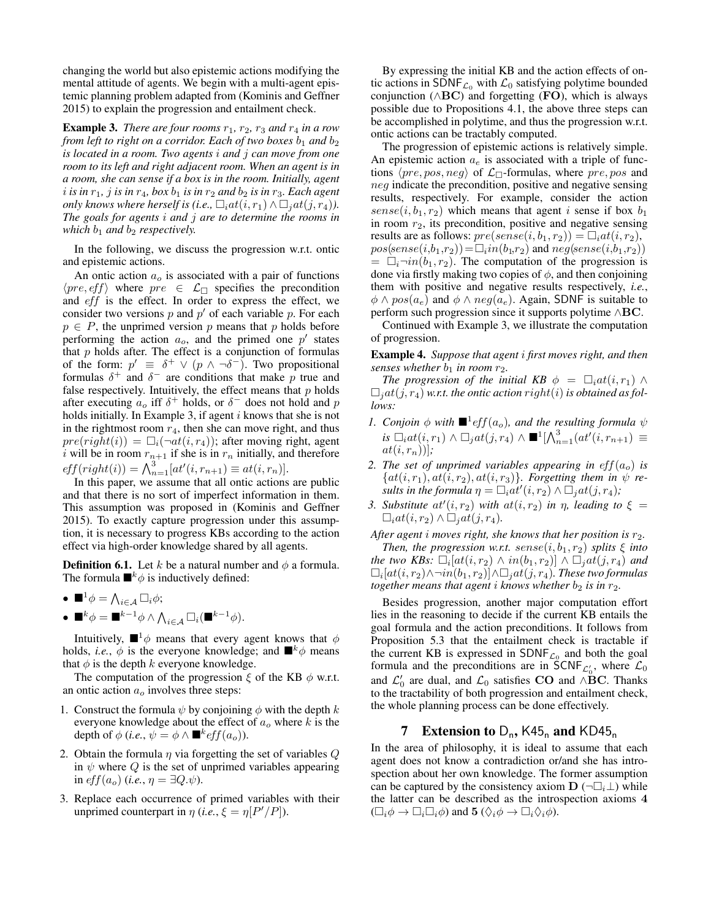changing the world but also epistemic actions modifying the mental attitude of agents. We begin with a multi-agent epistemic planning problem adapted from (Kominis and Geffner 2015) to explain the progression and entailment check.

**Example 3.** *There are four rooms*  $r_1$ ,  $r_2$ ,  $r_3$  *and*  $r_4$  *in a row from left to right on a corridor. Each of two boxes*  $b_1$  *and*  $b_2$ *is located in a room. Two agents* i *and* j *can move from one room to its left and right adjacent room. When an agent is in a room, she can sense if a box is in the room. Initially, agent*  $i$  *is in*  $r_1$ *, j is in*  $r_4$ *, box*  $b_1$  *is in*  $r_2$  *and*  $b_2$  *is in*  $r_3$ *. Each agent only knows where herself is (i.e.,*  $\Box_i at(i, r_1) \wedge \Box_j at(j, r_4)$ ). *The goals for agents* i *and* j *are to determine the rooms in which*  $b_1$  *and*  $b_2$  *respectively.* 

In the following, we discuss the progression w.r.t. ontic and epistemic actions.

An ontic action  $a<sub>o</sub>$  is associated with a pair of functions  $\langle pre, eff \rangle$  where  $pre \in \mathcal{L}_{\Box}$  specifies the precondition and *eff* is the effect. In order to express the effect, we consider two versions  $p$  and  $p'$  of each variable  $p$ . For each  $p \in P$ , the unprimed version p means that p holds before performing the action  $a_o$ , and the primed one  $p'$  states that  $p$  holds after. The effect is a conjunction of formulas of the form:  $p' \equiv \delta^+ \vee (p \wedge \neg \delta^-)$ . Two propositional formulas  $\delta^+$  and  $\delta^-$  are conditions that make p true and false respectively. Intuitively, the effect means that  $p$  holds after executing  $a_o$  iff  $\delta^+$  holds, or  $\delta^-$  does not hold and p holds initially. In Example 3, if agent  $i$  knows that she is not in the rightmost room  $r_4$ , then she can move right, and thus  $pre(right(i)) = \Box_i(\neg at(i, r_4))$ ; after moving right, agent i will be in room  $r_{n+1}$  if she is in  $r_n$  initially, and therefore  $eff(right(i)) = \bigwedge_{n=1}^{3} [at'(i, r_{n+1}) \equiv at(i, r_n)].$ 

In this paper, we assume that all ontic actions are public and that there is no sort of imperfect information in them. This assumption was proposed in (Kominis and Geffner 2015). To exactly capture progression under this assumption, it is necessary to progress KBs according to the action effect via high-order knowledge shared by all agents.

**Definition 6.1.** Let k be a natural number and  $\phi$  a formula. The formula  $\blacksquare^k \phi$  is inductively defined:

\n- $$
\blacksquare^1 \phi = \bigwedge_{i \in \mathcal{A}} \Box_i \phi;
$$
\n- $\blacksquare^k \phi = \blacksquare^{k-1} \phi \land \bigwedge_{i \in \mathcal{A}} \Box_i (\blacksquare^{k-1})$
\n

Intuitively,  $\blacksquare^1\phi$  means that every agent knows that  $\phi$ holds, *i.e.*,  $\phi$  is the everyone knowledge; and  $\mathbb{R}^k \phi$  means that  $\phi$  is the depth k everyone knowledge.

 $\phi$ ).

The computation of the progression  $\xi$  of the KB  $\phi$  w.r.t. an ontic action  $a<sub>o</sub>$  involves three steps:

- 1. Construct the formula  $\psi$  by conjoining  $\phi$  with the depth k everyone knowledge about the effect of  $a<sub>o</sub>$  where k is the depth of  $\phi$  (*i.e.*,  $\psi = \phi \wedge \blacksquare^k eff(a_o)$ ).
- 2. Obtain the formula  $\eta$  via forgetting the set of variables  $Q$ in  $\psi$  where  $Q$  is the set of unprimed variables appearing in  $eff(a_o)$  (*i.e.*,  $\eta = \exists Q.\psi$ ).
- 3. Replace each occurrence of primed variables with their unprimed counterpart in  $\eta$  (*i.e.*,  $\xi = \eta[P'/P]$ ).

By expressing the initial KB and the action effects of ontic actions in SDNF<sub> $c_0$ </sub> with  $c_0$  satisfying polytime bounded conjunction ( $\wedge$ BC) and forgetting (FO), which is always possible due to Propositions 4.1, the above three steps can be accomplished in polytime, and thus the progression w.r.t. ontic actions can be tractably computed.

The progression of epistemic actions is relatively simple. An epistemic action  $a_e$  is associated with a triple of functions  $\langle pre, pos, neg \rangle$  of  $\mathcal{L}_{\Box}$ -formulas, where  $pre, pos$  and neg indicate the precondition, positive and negative sensing results, respectively. For example, consider the action  $sense(i, b_1, r_2)$  which means that agent i sense if box  $b_1$ in room  $r_2$ , its precondition, positive and negative sensing results are as follows:  $pre(sense(i, b_1, r_2)) = \Box_i at(i, r_2),$  $pos(sense(i, b_1, r_2)) = \square_i in(b_1, r_2)$  and  $neg(sense(i, b_1, r_2))$  $= \Box_i \neg in(b_1, r_2)$ . The computation of the progression is done via firstly making two copies of  $\phi$ , and then conjoining them with positive and negative results respectively, *i.e.*,  $\phi \wedge pos(a_e)$  and  $\phi \wedge neg(a_e)$ . Again, SDNF is suitable to perform such progression since it supports polytime ∧BC.

Continued with Example 3, we illustrate the computation of progression.

Example 4. *Suppose that agent* i *first moves right, and then senses whether*  $b_1$  *in room*  $r_2$ *.* 

*The progression of the initial KB*  $\phi = \Box_i at(i, r_1) \land$  $\Box_i$ *at*(*j*, *r*<sub>4</sub>) *w.r.t. the ontic action right*(*i*) *is obtained as follows:*

- *1. Conjoin*  $\phi$  *with*  $\blacksquare$ <sup>1</sup> *eff*( $a_o$ )*, and the resulting formula*  $\psi$  $is\ \Box_i at(i,r_1)\wedge \Box_j at(j,r_4)\wedge \blacksquare^1[\bigwedge_{n=1}^3 (at'(i,r_{n+1})\ \equiv$  $at(i, r_n))$ ;
- 2. The set of unprimed variables appearing in  $eff(a<sub>o</sub>)$  is  ${a}$  ${a}$  $(i, r<sub>1</sub>), a$  $t$  $(i, r<sub>2</sub>), a$  $t$  $(i, r<sub>3</sub>)$ *}. Forgetting them in*  $\psi$  *results in the formula*  $\eta = \Box_i at'(i, r_2) \wedge \Box_j at(j, r_4)$ ;
- *3. Substitute*  $at'(i, r_2)$  *with*  $at(i, r_2)$  *in*  $\eta$ *, leading to*  $\xi$  =  $\Box_i at(i, r_2) \wedge \Box_j at(j, r_4)$ .

*After agent i moves right, she knows that her position is*  $r_2$ *. Then, the progression w.r.t.*  $sense(i, b_1, r_2)$  *splits*  $\xi$  *into the two KBs:*  $\Box_i[at(i, r_2) \wedge in(b_1, r_2)] \wedge \Box_jat(j, r_4)$  and  $\Box_i[at(i,r_2)\wedge \neg in(b_1,r_2)]\wedge \Box_jat(j,r_4)$ . These two formulas *together means that agent i knows whether*  $b_2$  *is in*  $r_2$ *.* 

Besides progression, another major computation effort lies in the reasoning to decide if the current KB entails the goal formula and the action preconditions. It follows from Proposition 5.3 that the entailment check is tractable if the current KB is expressed in  $SDNF_{\mathcal{L}_0}$  and both the goal formula and the preconditions are in SCNF<sub> $\mathcal{L}_0$ </sub>, where  $\mathcal{L}_0$ and  $\mathcal{L}'_0$  are dual, and  $\mathcal{L}_0$  satisfies **CO** and ∧**BC**. Thanks to the tractability of both progression and entailment check, the whole planning process can be done effectively.

## **7** Extension to  $D_n$ , K45<sub>n</sub> and KD45<sub>n</sub>

In the area of philosophy, it is ideal to assume that each agent does not know a contradiction or/and she has introspection about her own knowledge. The former assumption can be captured by the consistency axiom  $\mathbf{D}$  ( $\neg \Box_i \bot$ ) while the latter can be described as the introspection axioms 4  $(\Box_i \phi \to \Box_i \Box_i \phi)$  and  $\mathbf{5}$   $(\Diamond_i \phi \to \Box_i \Diamond_i \phi)$ .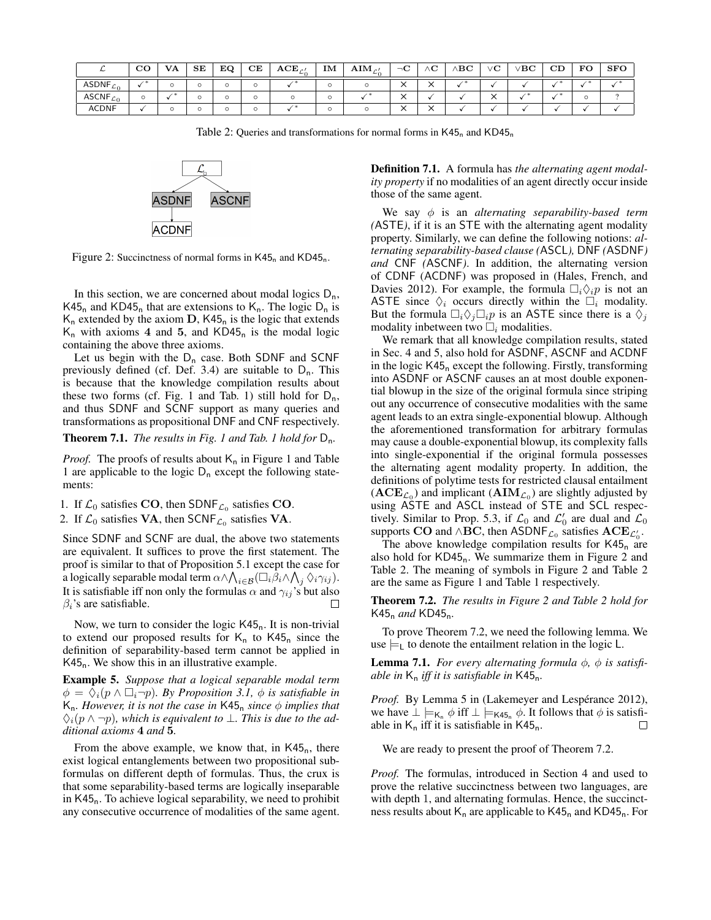|              | σc<br>◡◡ | <b>VA</b> | SE | EQ | CE | $\mathbf{ACE}_{C}$ | IM | $\mathbf{AIM}_{\mathcal{C}}$ | $\neg$ C | $\sim$<br>'NU.       | $\setminus \mathrm{BC}$ | vС                   | / $_{\rm BC}$ | CD | FO | <b>SFO</b> |
|--------------|----------|-----------|----|----|----|--------------------|----|------------------------------|----------|----------------------|-------------------------|----------------------|---------------|----|----|------------|
| ASDNF $c_0$  |          |           |    |    |    |                    |    |                              |          | $\ddot{\phantom{0}}$ |                         |                      |               |    |    |            |
| ASCNF $c_0$  |          |           |    | O  |    |                    |    |                              |          |                      |                         | $\ddot{\phantom{1}}$ |               |    |    |            |
| <b>ACDNF</b> |          |           |    | O  |    |                    |    |                              |          |                      |                         |                      |               |    |    |            |

Table 2: Queries and transformations for normal forms in  $K45<sub>n</sub>$  and  $KD45<sub>n</sub>$ 



Figure 2: Succinctness of normal forms in  $K45<sub>n</sub>$  and  $KD45<sub>n</sub>$ .

In this section, we are concerned about modal logics  $D_n$ , K45<sub>n</sub> and KD45<sub>n</sub> that are extensions to  $K_n$ . The logic  $D_n$  is  $K_n$  extended by the axiom  $D$ , K45<sub>n</sub> is the logic that extends  $K_n$  with axioms 4 and 5, and  $KD45_n$  is the modal logic containing the above three axioms.

Let us begin with the  $D_n$  case. Both SDNF and SCNF previously defined (cf. Def. 3.4) are suitable to  $D_n$ . This is because that the knowledge compilation results about these two forms (cf. Fig. 1 and Tab. 1) still hold for  $D_n$ , and thus SDNF and SCNF support as many queries and transformations as propositional DNF and CNF respectively.

Theorem 7.1. *The results in Fig. 1 and Tab. 1 hold for* Dn*.*

*Proof.* The proofs of results about  $K_n$  in Figure 1 and Table 1 are applicable to the logic  $D_n$  except the following statements:

- 1. If  $\mathcal{L}_0$  satisfies CO, then SDNF<sub> $\mathcal{L}_0$ </sub> satisfies CO.
- 2. If  $\mathcal{L}_0$  satisfies **VA**, then SCNF<sub> $\mathcal{L}_0$ </sub> satisfies **VA**.

Since SDNF and SCNF are dual, the above two statements are equivalent. It suffices to prove the first statement. The proof is similar to that of Proposition 5.1 except the case for a logically separable modal term  $\alpha \wedge \bigwedge_{i \in \mathcal{B}} (\Box_i \beta_i \wedge \bigwedge_j \Diamond_i \gamma_{ij}).$ It is satisfiable iff non only the formulas  $\alpha$  and  $\gamma_{ij}$ 's but also  $\beta_i$ 's are satisfiable.

Now, we turn to consider the logic  $K45<sub>n</sub>$ . It is non-trivial to extend our proposed results for  $K_n$  to  $K45_n$  since the definition of separability-based term cannot be applied in  $K45<sub>n</sub>$ . We show this in an illustrative example.

Example 5. *Suppose that a logical separable modal term*  $\phi = \Diamond_i(p \land \Box_i \neg p)$ *. By Proposition 3.1,*  $\phi$  *is satisfiable in*  $K_n$ *. However, it is not the case in* K45<sub>n</sub> *since*  $\phi$  *implies that* ♦i(p ∧ ¬p)*, which is equivalent to* ⊥*. This is due to the additional axioms* 4 *and* 5*.*

From the above example, we know that, in  $K45<sub>n</sub>$ , there exist logical entanglements between two propositional subformulas on different depth of formulas. Thus, the crux is that some separability-based terms are logically inseparable in  $K45<sub>n</sub>$ . To achieve logical separability, we need to prohibit any consecutive occurrence of modalities of the same agent.

Definition 7.1. A formula has *the alternating agent modality property* if no modalities of an agent directly occur inside those of the same agent.

We say φ is an *alternating separability-based term (*ASTE*)*, if it is an STE with the alternating agent modality property. Similarly, we can define the following notions: *alternating separability-based clause (*ASCL*),* DNF *(*ASDNF*) and* CNF *(*ASCNF*)*. In addition, the alternating version of CDNF (ACDNF) was proposed in (Hales, French, and Davies 2012). For example, the formula  $\Box_i \Diamond_i p$  is not an ASTE since  $\Diamond_i$  occurs directly within the  $\Box_i$  modality. But the formula  $\Box_i \Diamond_j \Box_j p$  is an ASTE since there is a  $\Diamond_i$ modality inbetween two  $\Box_i$  modalities.

We remark that all knowledge compilation results, stated in Sec. 4 and 5, also hold for ASDNF, ASCNF and ACDNF in the logic  $K45<sub>n</sub>$  except the following. Firstly, transforming into ASDNF or ASCNF causes an at most double exponential blowup in the size of the original formula since striping out any occurrence of consecutive modalities with the same agent leads to an extra single-exponential blowup. Although the aforementioned transformation for arbitrary formulas may cause a double-exponential blowup, its complexity falls into single-exponential if the original formula possesses the alternating agent modality property. In addition, the definitions of polytime tests for restricted clausal entailment  $(ACE<sub>C0</sub>)$  and implicant  $(AIM<sub>C0</sub>)$  are slightly adjusted by using ASTE and ASCL instead of STE and SCL respectively. Similar to Prop. 5.3, if  $\mathcal{L}_0$  and  $\mathcal{L}'_0$  are dual and  $\mathcal{L}_0$ supports CO and ∧BC, then ASDNF<sub>L<sub>0</sub></sub> satisfies  $\text{ACE}_{\mathcal{L}_0}$ .

The above knowledge compilation results for  $K45<sub>n</sub>$  are also hold for  $KD45<sub>n</sub>$ . We summarize them in Figure 2 and Table 2. The meaning of symbols in Figure 2 and Table 2 are the same as Figure 1 and Table 1 respectively.

Theorem 7.2. *The results in Figure 2 and Table 2 hold for* K45<sup>n</sup> *and* KD45n*.*

To prove Theorem 7.2, we need the following lemma. We use  $\models$ <sub>L</sub> to denote the entailment relation in the logic L.

**Lemma 7.1.** *For every alternating formula*  $\phi$ ,  $\phi$  *is satisfiable in* K<sup>n</sup> *iff it is satisfiable in* K45n*.*

*Proof.* By Lemma 5 in (Lakemeyer and Lespérance 2012), we have  $\perp \models_{\mathsf{K}_n} \phi$  iff  $\perp \models_{\mathsf{K45}_n} \phi$ . It follows that  $\phi$  is satisfiable in  $K_n$  iff it is satisfiable in  $K45_n$ . П

We are ready to present the proof of Theorem 7.2.

*Proof.* The formulas, introduced in Section 4 and used to prove the relative succinctness between two languages, are with depth 1, and alternating formulas. Hence, the succinctness results about  $K_n$  are applicable to  $K45_n$  and  $KD45_n$ . For